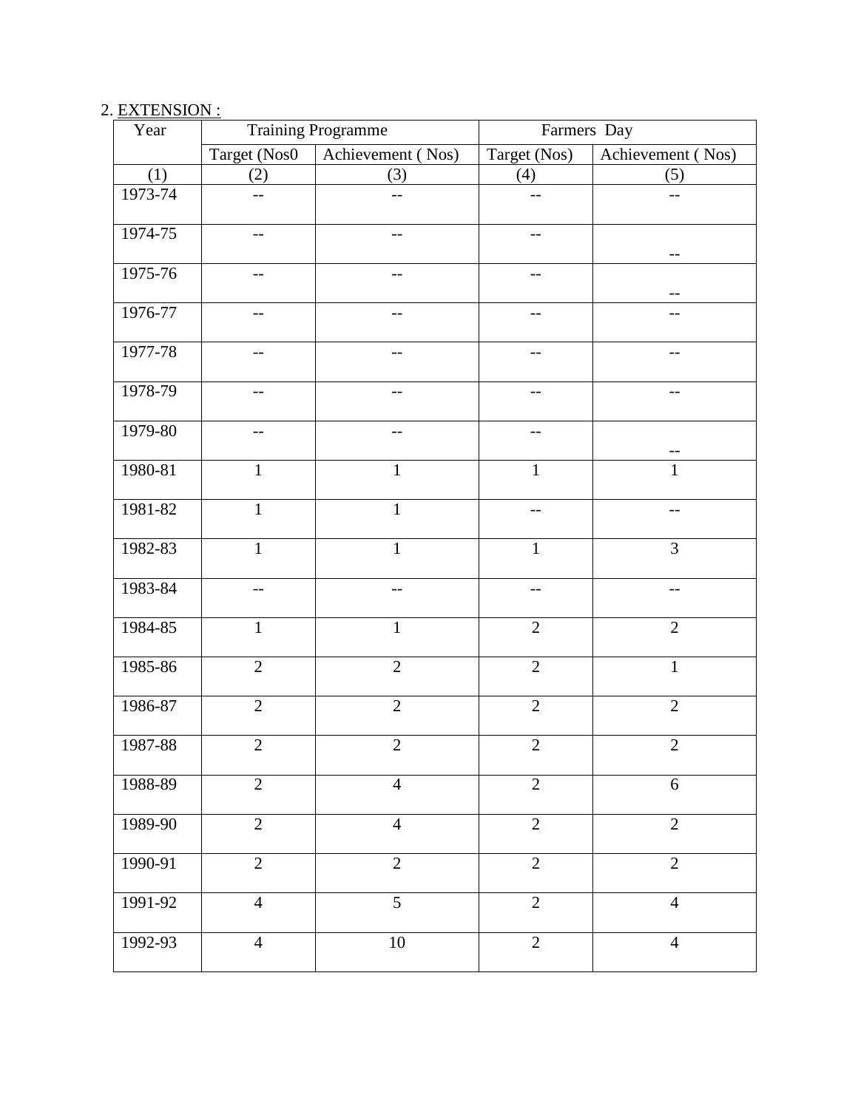## 2. EXTENSION :

| Year    | <b>Training Programme</b> |                   | Farmers Day    |                   |
|---------|---------------------------|-------------------|----------------|-------------------|
|         | Target (Nos0              | Achievement (Nos) | Target (Nos)   | Achievement (Nos) |
| (1)     | (2)                       | (3)               | (4)            | (5)               |
| 1973-74 | --                        | --                |                | --                |
| 1974-75 | $-$                       | $-$               | $-$            |                   |
| 1975-76 | $-$ -                     | --                | $- -$          |                   |
| 1976-77 |                           |                   |                |                   |
| 1977-78 | --                        | --                | --             | $-$               |
| 1978-79 | --                        | --                | --             | --                |
| 1979-80 |                           |                   |                |                   |
| 1980-81 | $\mathbf{1}$              | $\mathbf{1}$      | $\mathbf{1}$   | $\mathbf{1}$      |
| 1981-82 | $\mathbf{1}$              | $\mathbf{1}$      | $-$            | $-$               |
| 1982-83 | $\mathbf{1}$              | $\mathbf{1}$      | $\mathbf{1}$   | $\overline{3}$    |
| 1983-84 | --                        | --                | $-$            | $-$               |
| 1984-85 | $\mathbf{1}$              | $\mathbf{1}$      | $\overline{2}$ | $\overline{2}$    |
| 1985-86 | $\overline{2}$            | $\overline{2}$    | $\overline{2}$ | $\mathbf{1}$      |
| 1986-87 | $\overline{2}$            | $\overline{2}$    | $\overline{2}$ | $\overline{2}$    |
| 1987-88 | $\mathbf{2}$              | $\overline{2}$    | $\mathbf{2}$   | $\overline{2}$    |
| 1988-89 | $\overline{2}$            | $\overline{4}$    | $\overline{2}$ | 6                 |
| 1989-90 | $\overline{2}$            | $\overline{4}$    | $\overline{2}$ | $\overline{2}$    |
| 1990-91 | $\overline{2}$            | $\overline{2}$    | $\overline{2}$ | $\overline{2}$    |
| 1991-92 | $\overline{4}$            | $\overline{5}$    | $\overline{2}$ | $\overline{4}$    |
| 1992-93 | $\overline{4}$            | 10                | $\overline{2}$ | $\overline{4}$    |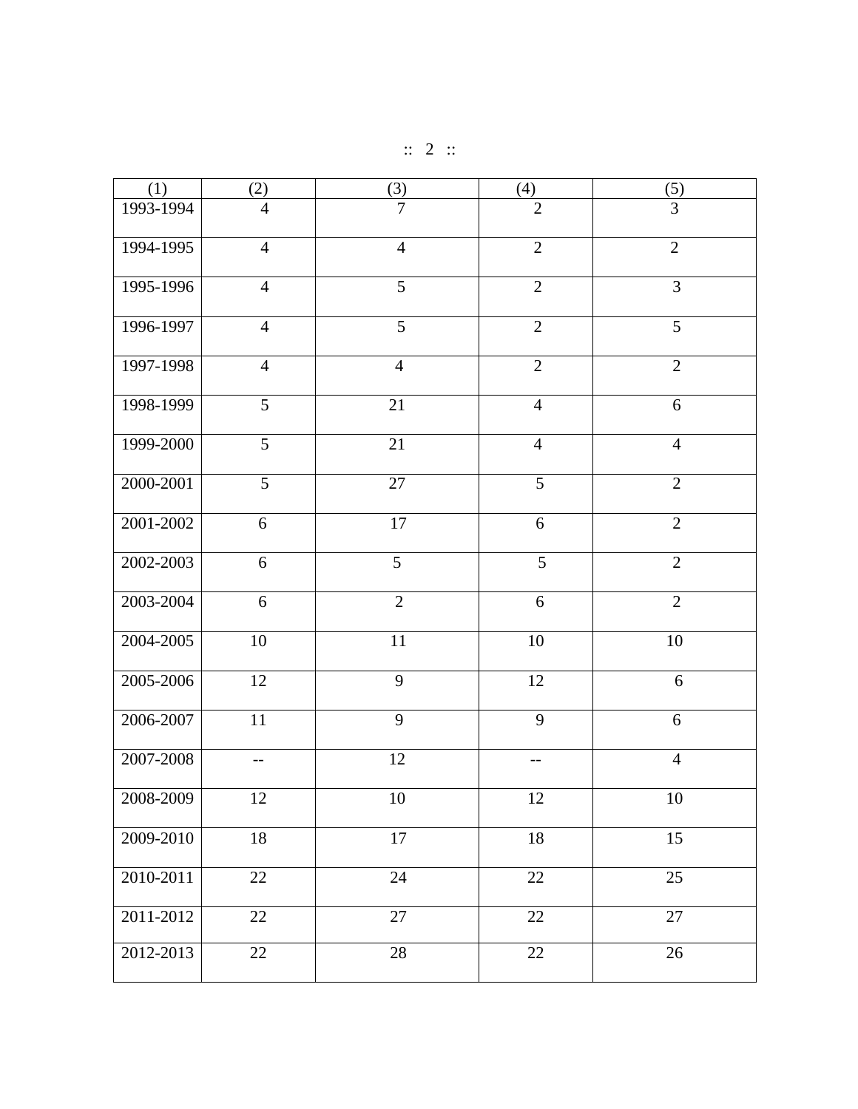| $\therefore$ 2 $\therefore$ |  |  |  |  |
|-----------------------------|--|--|--|--|
|-----------------------------|--|--|--|--|

| (1)           | (2)            | $\frac{3}{2}$   | (4)             | (5)             |
|---------------|----------------|-----------------|-----------------|-----------------|
| 1993-1994     | $\overline{4}$ | $\overline{7}$  | $\overline{2}$  | 3               |
| 1994-1995     | $\overline{4}$ | $\overline{4}$  | $\overline{2}$  | $\overline{2}$  |
| 1995-1996     | $\overline{4}$ | $\overline{5}$  | $\overline{2}$  | $\overline{3}$  |
| 1996-1997     | $\overline{4}$ | $\overline{5}$  | $\overline{2}$  | $\overline{5}$  |
| 1997-1998     | $\overline{4}$ | $\overline{4}$  | $\overline{2}$  | $\overline{2}$  |
| 1998-1999     | $\overline{5}$ | 21              | $\overline{4}$  | 6               |
| 1999-2000     | $\overline{5}$ | 21              | $\overline{4}$  | $\overline{4}$  |
| 2000-2001     | $\overline{5}$ | $\overline{27}$ | $\overline{5}$  | $\overline{2}$  |
| $2001 - 2002$ | 6              | $17\,$          | 6               | $\overline{2}$  |
| 2002-2003     | 6              | $\overline{5}$  | $\overline{5}$  | $\overline{2}$  |
| 2003-2004     | 6              | $\overline{2}$  | 6               | $\overline{2}$  |
| 2004-2005     | $10\,$         | 11              | $10\,$          | $10\,$          |
| 2005-2006     | 12             | $\overline{9}$  | 12              | 6               |
| 2006-2007     | $11\,$         | 9               | 9               | 6               |
| 2007-2008     | $-$            | 12              | $-$             | $\overline{4}$  |
| 2008-2009     | 12             | 10              | 12              | 10              |
| 2009-2010     | 18             | 17              | $18\,$          | 15              |
| 2010-2011     | 22             | 24              | 22              | 25              |
| 2011-2012     | 22             | $\overline{27}$ | $\overline{22}$ | $\overline{27}$ |
| 2012-2013     | 22             | 28              | 22              | 26              |